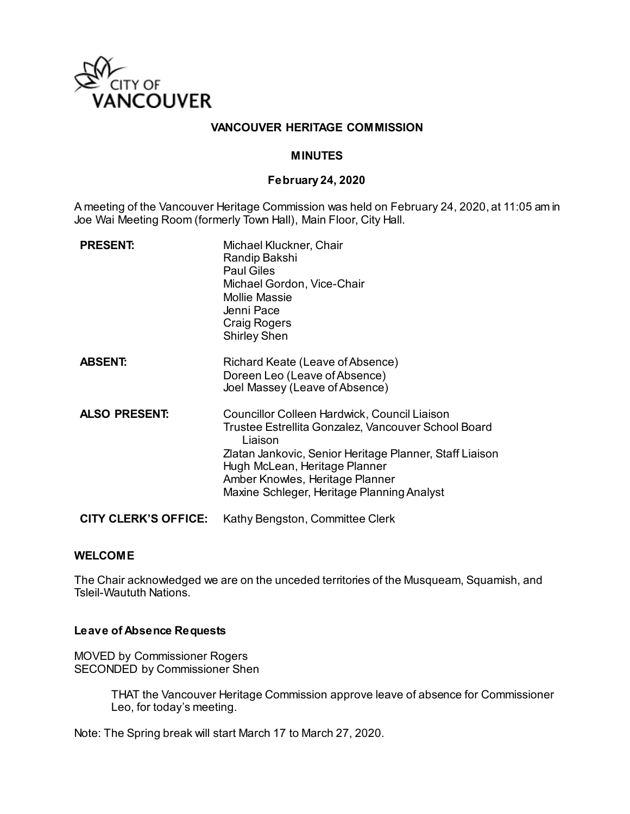

### **VANCOUVER HERITAGE COMMISSION**

#### **MINUTES**

#### **February 24, 2020**

A meeting of the Vancouver Heritage Commission was held on February 24, 2020, at 11:05 am in Joe Wai Meeting Room (formerly Town Hall), Main Floor, City Hall.

| <b>PRESENT:</b>             | Michael Kluckner, Chair<br>Randip Bakshi<br><b>Paul Giles</b><br>Michael Gordon, Vice-Chair<br><b>Mollie Massie</b><br>Jenni Pace<br><b>Craig Rogers</b><br><b>Shirley Shen</b>                                                                                                             |
|-----------------------------|---------------------------------------------------------------------------------------------------------------------------------------------------------------------------------------------------------------------------------------------------------------------------------------------|
| <b>ABSENT:</b>              | Richard Keate (Leave of Absence)<br>Doreen Leo (Leave of Absence)<br>Joel Massey (Leave of Absence)                                                                                                                                                                                         |
| <b>ALSO PRESENT:</b>        | Councillor Colleen Hardwick, Council Liaison<br>Trustee Estrellita Gonzalez, Vancouver School Board<br>Liaison<br>Zlatan Jankovic, Senior Heritage Planner, Staff Liaison<br>Hugh McLean, Heritage Planner<br>Amber Knowles, Heritage Planner<br>Maxine Schleger, Heritage Planning Analyst |
| <b>CITY CLERK'S OFFICE:</b> | Kathy Bengston, Committee Clerk                                                                                                                                                                                                                                                             |

#### **WELCOME**

The Chair acknowledged we are on the unceded territories of the Musqueam, Squamish, and Tsleil-Waututh Nations.

#### **Leave of Absence Requests**

MOVED by Commissioner Rogers SECONDED by Commissioner Shen

> THAT the Vancouver Heritage Commission approve leave of absence for Commissioner Leo, for today's meeting.

Note: The Spring break will start March 17 to March 27, 2020.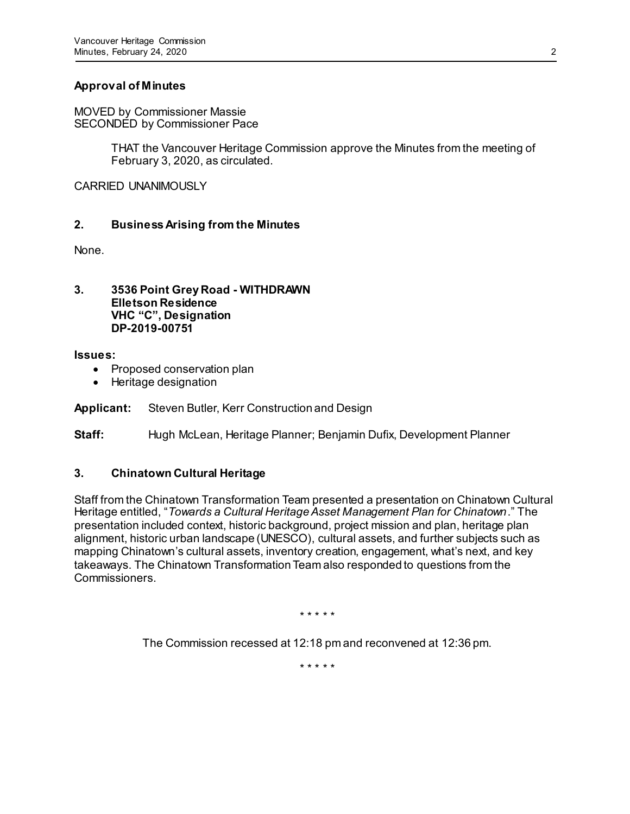# **Approval of Minutes**

MOVED by Commissioner Massie SECONDED by Commissioner Pace

> THAT the Vancouver Heritage Commission approve the Minutes from the meeting of February 3, 2020, as circulated.

CARRIED UNANIMOUSLY

# **2. Business Arising from the Minutes**

None.

**3. 3536 Point Grey Road - WITHDRAWN Elletson Residence VHC "C", Designation DP-2019-00751**

**Issues:**

- Proposed conservation plan
- Heritage designation

## **Applicant:** Steven Butler, Kerr Construction and Design

**Staff:** Hugh McLean, Heritage Planner; Benjamin Dufix, Development Planner

## **3. Chinatown Cultural Heritage**

Staff from the Chinatown Transformation Team presented a presentation on Chinatown Cultural Heritage entitled, "*Towards a Cultural Heritage Asset Management Plan for Chinatown*." The presentation included context, historic background, project mission and plan, heritage plan alignment, historic urban landscape (UNESCO), cultural assets, and further subjects such as mapping Chinatown's cultural assets, inventory creation, engagement, what's next, and key takeaways. The Chinatown Transformation Team also responded to questions from the Commissioners.

\* \* \* \* \*

The Commission recessed at 12:18 pm and reconvened at 12:36 pm.

\* \* \* \* \*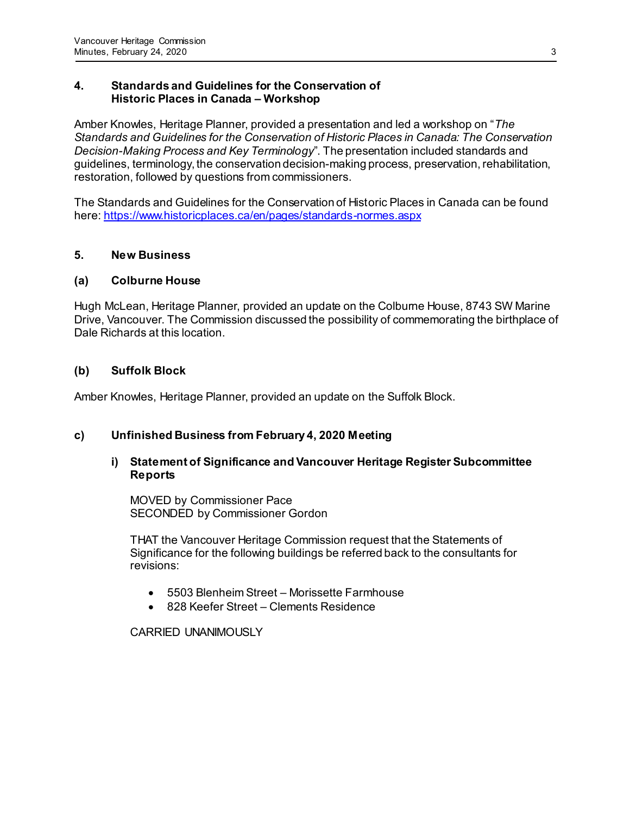## **4. Standards and Guidelines for the Conservation of Historic Places in Canada – Workshop**

Amber Knowles, Heritage Planner, provided a presentation and led a workshop on "*The Standards and Guidelines for the Conservation of Historic Places in Canada: The Conservation Decision-Making Process and Key Terminology*". The presentation included standards and guidelines, terminology, the conservation decision-making process, preservation, rehabilitation, restoration, followed by questions from commissioners.

The Standards and Guidelines for the Conservation of Historic Places in Canada can be found here[: https://www.historicplaces.ca/en/pages/standards-normes.aspx](https://www.historicplaces.ca/en/pages/standards-normes.aspx)

## **5. New Business**

## **(a) Colburne House**

Hugh McLean, Heritage Planner, provided an update on the Colburne House, 8743 SW Marine Drive, Vancouver. The Commission discussed the possibility of commemorating the birthplace of Dale Richards at this location.

## **(b) Suffolk Block**

Amber Knowles, Heritage Planner, provided an update on the Suffolk Block.

## **c) Unfinished Business from February 4, 2020 Meeting**

## **i) Statement of Significance and Vancouver Heritage Register Subcommittee Reports**

MOVED by Commissioner Pace SECONDED by Commissioner Gordon

THAT the Vancouver Heritage Commission request that the Statements of Significance for the following buildings be referred back to the consultants for revisions:

- 5503 Blenheim Street Morissette Farmhouse
- 828 Keefer Street Clements Residence

CARRIED UNANIMOUSLY